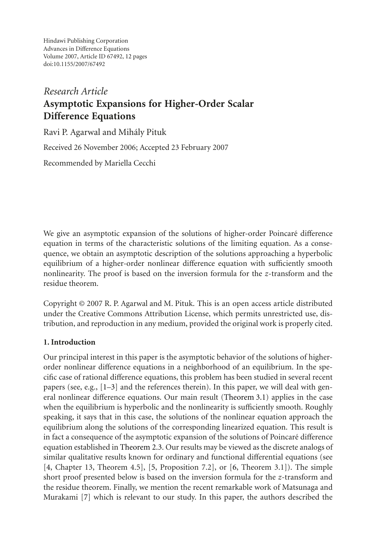Hindawi Publishing Corporation Advances in Difference Equations Volume 2007, Article ID 67492, [12](#page-10-0) pages doi:10.1155/2007/67492

# *Research Article* **Asymptotic Expansions for Higher-Order Scalar Difference Equations**

Ravi P. Agarwal and Mihaly Pituk ´

Received 26 November 2006; Accepted 23 February 2007

Recommended by Mariella Cecchi

We give an asymptotic expansion of the solutions of higher-order Poincaré difference equation in terms of the characteristic solutions of the limiting equation. As a consequence, we obtain an asymptotic description of the solutions approaching a hyperbolic equilibrium of a higher-order nonlinear difference equation with sufficiently smooth nonlinearity. The proof is based on the inversion formula for the *z*-transform and the residue theorem.

Copyright © 2007 R. P. Agarwal and M. Pituk. This is an open access article distributed under the Creative Commons Attribution License, which permits unrestricted use, distribution, and reproduction in any medium, provided the original work is properly cited.

# **1. Introduction**

Our principal interest in this paper is the asymptotic behavior of the solutions of higherorder nonlinear difference equations in a neighborhood of an equilibrium. In the specific case of rational difference equations, this problem has been studied in several recent papers (see, e.g., [\[1](#page-10-1)[–3](#page-10-2)] and the references therein). In this paper, we will deal with general nonlinear difference equations. Our main result [\(Theorem 3.1\)](#page-7-0) applies in the case when the equilibrium is hyperbolic and the nonlinearity is sufficiently smooth. Roughly speaking, it says that in this case, the solutions of the nonlinear equation approach the equilibrium along the solutions of the corresponding linearized equation. This result is in fact a consequence of the asymptotic expansion of the solutions of Poincaré difference equation established in [Theorem 2.3.](#page-2-0) Our results may be viewed as the discrete analogs of similar qualitative results known for ordinary and functional differential equations (see [\[4,](#page-10-3) Chapter 13, Theorem 4.5], [\[5](#page-11-0), Proposition 7.2], or [\[6](#page-11-1), Theorem 3.1]). The simple short proof presented below is based on the inversion formula for the *z*-transform and the residue theorem. Finally, we mention the recent remarkable work of Matsunaga and Murakami [\[7](#page-11-2)] which is relevant to our study. In this paper, the authors described the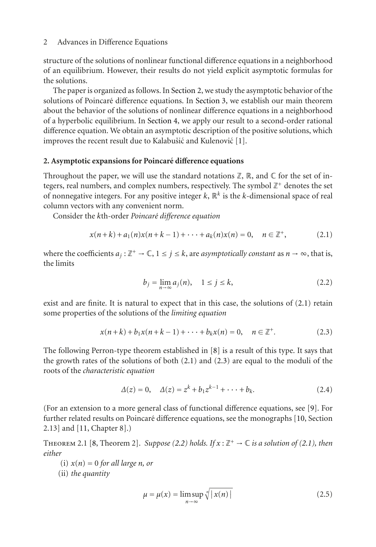structure of the solutions of nonlinear functional difference equations in a neighborhood of an equilibrium. However, their results do not yield explicit asymptotic formulas for the solutions.

The paper is organized as follows. In [Section 2,](#page-1-0) we study the asymptotic behavior of the solutions of Poincaré difference equations. In [Section 3,](#page-6-0) we establish our main theorem about the behavior of the solutions of nonlinear difference equations in a neighborhood of a hyperbolic equilibrium. In [Section 4,](#page-9-0) we apply our result to a second-order rational difference equation. We obtain an asymptotic description of the positive solutions, which improves the recent result due to Kalabušić and Kulenović [[1](#page-10-1)].

# <span id="page-1-0"></span>**2. Asymptotic expansions for Poincare di ´ fference equations**

Throughout the paper, we will use the standard notations  $\mathbb{Z}, \mathbb{R}$ , and  $\mathbb{C}$  for the set of integers, real numbers, and complex numbers, respectively. The symbol  $\mathbb{Z}^+$  denotes the set of nonnegative integers. For any positive integer  $k$ ,  $\mathbb{R}^k$  is the *k*-dimensional space of real column vectors with any convenient norm.

Consider the *k*th-order *Poincar´e difference equation*

$$
x(n+k) + a_1(n)x(n+k-1) + \cdots + a_k(n)x(n) = 0, \quad n \in \mathbb{Z}^+,
$$
 (2.1)

where the coefficients  $a_j : \mathbb{Z}^+ \to \mathbb{C}$ ,  $1 \leq j \leq k$ , are *asymptotically constant* as  $n \to \infty$ , that is, the limits

<span id="page-1-3"></span><span id="page-1-2"></span><span id="page-1-1"></span>
$$
b_j = \lim_{n \to \infty} a_j(n), \quad 1 \le j \le k,
$$
\n(2.2)

exist and are finite. It is natural to expect that in this case, the solutions of [\(2.1\)](#page-1-1) retain some properties of the solutions of the *limiting equation*

$$
x(n+k) + b_1 x(n+k-1) + \dots + b_k x(n) = 0, \quad n \in \mathbb{Z}^+.
$$
 (2.3)

The following Perron-type theorem established in [\[8](#page-11-3)] is a result of this type. It says that the growth rates of the solutions of both  $(2.1)$  and  $(2.3)$  are equal to the moduli of the roots of the *characteristic equation*

<span id="page-1-5"></span>
$$
\Delta(z) = 0, \quad \Delta(z) = z^k + b_1 z^{k-1} + \dots + b_k.
$$
 (2.4)

(For an extension to a more general class of functional difference equations, see [\[9](#page-11-4)]. For further related results on Poincaré difference equations, see the monographs [\[10](#page-11-5), Section] 2.13] and [\[11,](#page-11-6) Chapter 8].)

<span id="page-1-4"></span>THEOREM 2.1 [\[8,](#page-11-3) Theorem 2]. *Suppose [\(2.2\)](#page-1-3)* holds. If  $x : \mathbb{Z}^+ \to \mathbb{C}$  is a solution of [\(2.1\)](#page-1-1), then *either*

 $(i)$   $x(n) = 0$  *for all large n, or* 

(ii) *the quantity*

<span id="page-1-6"></span>
$$
\mu = \mu(x) = \limsup_{n \to \infty} \sqrt[n]{|x(n)|} \tag{2.5}
$$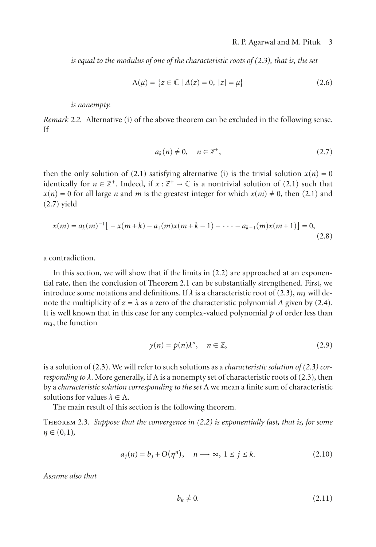*is equal to the modulus of one of the characteristic roots of [\(2.3\)](#page-1-2), that is, the set*

<span id="page-2-2"></span>
$$
\Lambda(\mu) = \{ z \in \mathbb{C} \mid \Delta(z) = 0, \ |z| = \mu \}
$$
 (2.6)

*is nonempty.*

<span id="page-2-6"></span>*Remark 2.2.* Alternative (i) of the above theorem can be excluded in the following sense. If

<span id="page-2-1"></span>
$$
a_k(n) \neq 0, \quad n \in \mathbb{Z}^+, \tag{2.7}
$$

then the only solution of [\(2.1\)](#page-1-1) satisfying alternative (i) is the trivial solution  $x(n) = 0$ identically for  $n \in \mathbb{Z}^+$ . Indeed, if  $x : \mathbb{Z}^+ \to \mathbb{C}$  is a nontrivial solution of [\(2.1\)](#page-1-1) such that  $x(n) = 0$  for all large *n* and *m* is the greatest integer for which  $x(m) \neq 0$ , then [\(2.1\)](#page-1-1) and [\(2.7\)](#page-2-1) yield

$$
x(m) = a_k(m)^{-1} \big[ -x(m+k) - a_1(m)x(m+k-1) - \dots - a_{k-1}(m)x(m+1) \big] = 0,
$$
\n(2.8)

a contradiction.

In this section, we will show that if the limits in [\(2.2\)](#page-1-3) are approached at an exponential rate, then the conclusion of [Theorem 2.1](#page-1-4) can be substantially strengthened. First, we introduce some notations and definitions. If  $\lambda$  is a characteristic root of [\(2.3\)](#page-1-2),  $m_{\lambda}$  will denote the multiplicity of  $z = \lambda$  as a zero of the characteristic polynomial  $\Delta$  given by [\(2.4\)](#page-1-5). It is well known that in this case for any complex-valued polynomial *p* of order less than *mλ*, the function

<span id="page-2-3"></span>
$$
y(n) = p(n)\lambda^n, \quad n \in \mathbb{Z}, \tag{2.9}
$$

is a solution of [\(2.3\)](#page-1-2). We will refer to such solutions as a *characteristic solution of [\(2.3\)](#page-1-2) corresponding to*  $\lambda$ . More generally, if  $\Lambda$  is a nonempty set of characteristic roots of [\(2.3\)](#page-1-2), then by a *characteristic solution corresponding to the set* Λ we mean a finite sum of characteristic solutions for values  $\lambda \in \Lambda$ .

The main result of this section is the following theorem.

<span id="page-2-0"></span>Theorem 2.3. *Suppose that the convergence in [\(2.2\)](#page-1-3) is exponentially fast, that is, for some η* ∈ (0,1)*,*

$$
a_j(n) = b_j + \mathcal{O}(\eta^n), \quad n \longrightarrow \infty, \ 1 \le j \le k. \tag{2.10}
$$

*Assume also that*

<span id="page-2-5"></span><span id="page-2-4"></span>
$$
b_k \neq 0. \tag{2.11}
$$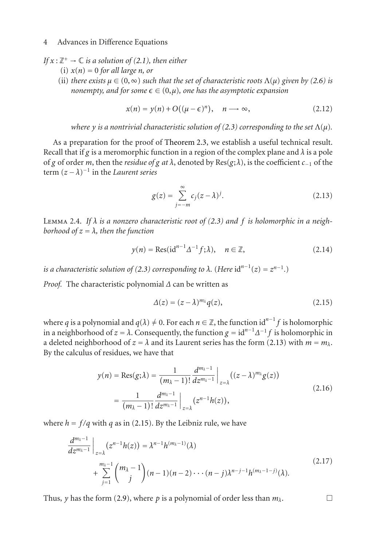- *If*  $x : \mathbb{Z}^+ \to \mathbb{C}$  *is a solution of [\(2.1\)](#page-1-1), then either* 
	- $(i)$   $x(n) = 0$  *for all large n, or*
	- (ii) *there exists*  $\mu \in (0, \infty)$  *such that the set of characteristic roots*  $\Lambda(\mu)$  *given by [\(2.6\)](#page-2-2) is*  $nonempty,$  and for some  $\epsilon \in (0, μ)$ , one has the asymptotic expansion

<span id="page-3-3"></span>
$$
x(n) = y(n) + O((\mu - \epsilon)^n), \quad n \longrightarrow \infty,
$$
 (2.12)

*where y is a nontrivial characteristic solution of [\(2.3\)](#page-1-2) corresponding to the set*  $\Lambda(\mu)$ *.* 

As a preparation for the proof of [Theorem 2.3,](#page-2-0) we establish a useful technical result. Recall that if *g* is a meromorphic function in a region of the complex plane and  $\lambda$  is a pole of *g* of order *m*, then the *residue of g at*  $\lambda$ , denoted by Res( $g$ ; $\lambda$ ), is the coefficient  $c_{-1}$  of the term  $(z - \lambda)^{-1}$  in the *Laurent series* 

<span id="page-3-0"></span>
$$
g(z) = \sum_{j=-m}^{\infty} c_j (z - \lambda)^j.
$$
 (2.13)

<span id="page-3-2"></span>Lemma 2.4. *If λ is a nonzero characteristic root of [\(2.3\)](#page-1-2) and f is holomorphic in a neighborhood of*  $z = \lambda$ *, then the function* 

$$
y(n) = \text{Res}(\text{id}^{n-1}\Delta^{-1}f;\lambda), \quad n \in \mathbb{Z}, \tag{2.14}
$$

*is a characteristic solution of [\(2.3\)](#page-1-2) corresponding to*  $\lambda$ *. (Here id<sup>n-1</sup>(z) =*  $z^{n-1}$ *.)* 

*Proof.* The characteristic polynomial *Δ* can be written as

<span id="page-3-1"></span>
$$
\Delta(z) = (z - \lambda)^{m_{\lambda}} q(z), \qquad (2.15)
$$

where *q* is a polynomial and  $q(\lambda) \neq 0$ . For each  $n \in \mathbb{Z}$ , the function id<sup>n-1</sup> *f* is holomorphic in a neighborhood of  $z = \lambda$ . Consequently, the function  $g = id^{n-1} \Delta^{-1} f$  is holomorphic in a deleted neighborhood of  $z = \lambda$  and its Laurent series has the form [\(2.13\)](#page-3-0) with  $m = m_{\lambda}$ . By the calculus of residues, we have that

$$
y(n) = \text{Res}(g;\lambda) = \frac{1}{(m_{\lambda} - 1)!} \frac{d^{m_{\lambda} - 1}}{dz^{m_{\lambda} - 1}} \Big|_{z = \lambda} ((z - \lambda)^{m_{\lambda}} g(z))
$$
  
= 
$$
\frac{1}{(m_{\lambda} - 1)!} \frac{d^{m_{\lambda} - 1}}{dz^{m_{\lambda} - 1}} \Big|_{z = \lambda} (z^{n-1} h(z)),
$$
 (2.16)

where  $h = f/q$  with *q* as in [\(2.15\)](#page-3-1). By the Leibniz rule, we have

$$
\frac{d^{m_{\lambda}-1}}{dz^{m_{\lambda}-1}}\Big|_{z=\lambda}(z^{n-1}h(z)) = \lambda^{n-1}h^{(m_{\lambda}-1)}(\lambda)
$$
\n
$$
+\sum_{j=1}^{m_{\lambda}-1} {m_{\lambda}-1 \choose j}(n-1)(n-2)\cdots(n-j)\lambda^{n-j-1}h^{(m_{\lambda}-1-j)}(\lambda).
$$
\n(2.17)

Thus, *y* has the form [\(2.9\)](#page-2-3), where *p* is a polynomial of order less than  $m_\lambda$ .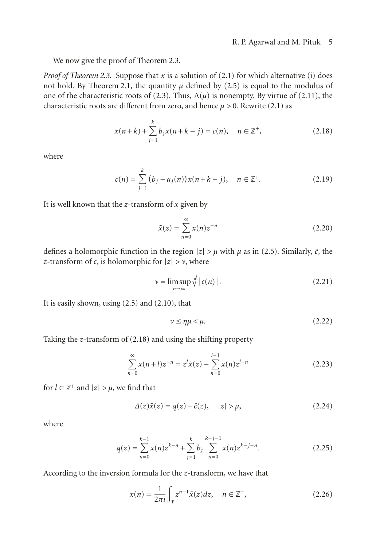We now give the proof of [Theorem 2.3.](#page-2-0)

*Proof of [Theorem 2.3.](#page-2-0)* Suppose that *x* is a solution of [\(2.1\)](#page-1-1) for which alternative (i) does not hold. By [Theorem 2.1,](#page-1-4) the quantity  $\mu$  defined by [\(2.5\)](#page-1-6) is equal to the modulus of one of the characteristic roots of [\(2.3\)](#page-1-2). Thus,  $\Lambda(\mu)$  is nonempty. By virtue of [\(2.11\)](#page-2-4), the characteristic roots are different from zero, and hence  $\mu > 0$ . Rewrite [\(2.1\)](#page-1-1) as

<span id="page-4-0"></span>
$$
x(n+k) + \sum_{j=1}^{k} b_j x(n+k-j) = c(n), \quad n \in \mathbb{Z}^+,
$$
 (2.18)

where

$$
c(n) = \sum_{j=1}^{k} (b_j - a_j(n))x(n+k-j), \quad n \in \mathbb{Z}^+.
$$
 (2.19)

It is well known that the *z*-transform of *x* given by

$$
\tilde{x}(z) = \sum_{n=0}^{\infty} x(n)z^{-n}
$$
\n(2.20)

defines a holomorphic function in the region  $|z| > \mu$  with  $\mu$  as in [\(2.5\)](#page-1-6). Similarly,  $\tilde{c}$ , the *z*-transform of *c*, is holomorphic for  $|z| > v$ , where

$$
\nu = \limsup_{n \to \infty} \sqrt[n]{|c(n)|}.
$$
 (2.21)

It is easily shown, using [\(2.5\)](#page-1-6) and [\(2.10\)](#page-2-5), that

<span id="page-4-1"></span>
$$
\nu \le \eta \mu < \mu. \tag{2.22}
$$

Taking the *z*-transform of [\(2.18\)](#page-4-0) and using the shifting property

$$
\sum_{n=0}^{\infty} x(n+l)z^{-n} = z^{l}\tilde{x}(z) - \sum_{n=0}^{l-1} x(n)z^{l-n}
$$
\n(2.23)

for  $l \in \mathbb{Z}^+$  and  $|z| > \mu$ , we find that

$$
\Delta(z)\tilde{x}(z) = q(z) + \tilde{c}(z), \quad |z| > \mu,
$$
\n(2.24)

where

$$
q(z) = \sum_{n=0}^{k-1} x(n) z^{k-n} + \sum_{j=1}^{k} b_j \sum_{n=0}^{k-j-1} x(n) z^{k-j-n}.
$$
 (2.25)

According to the inversion formula for the *z*-transform, we have that

<span id="page-4-2"></span>
$$
x(n) = \frac{1}{2\pi i} \int_{\gamma} z^{n-1} \tilde{x}(z) dz, \quad n \in \mathbb{Z}^+, \tag{2.26}
$$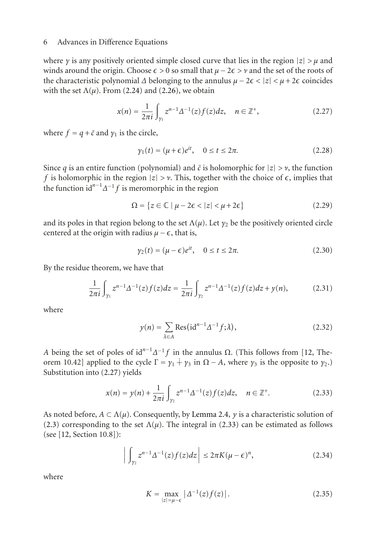where *γ* is any positively oriented simple closed curve that lies in the region  $|z| > \mu$  and winds around the origin. Choose  $\epsilon > 0$  so small that  $\mu - 2\epsilon > \nu$  and the set of the roots of the characteristic polynomial  $\Delta$  belonging to the annulus  $\mu - 2\epsilon < |z| < \mu + 2\epsilon$  coincides with the set  $\Lambda(\mu)$ . From [\(2.24\)](#page-4-1) and [\(2.26\)](#page-4-2), we obtain

$$
x(n) = \frac{1}{2\pi i} \int_{\gamma_1} z^{n-1} \Delta^{-1}(z) f(z) dz, \quad n \in \mathbb{Z}^+, \tag{2.27}
$$

where  $f = q + \tilde{c}$  and  $\gamma_1$  is the circle,

<span id="page-5-0"></span>
$$
\gamma_1(t) = (\mu + \epsilon)e^{it}, \quad 0 \le t \le 2\pi. \tag{2.28}
$$

Since *q* is an entire function (polynomial) and  $\tilde{c}$  is holomorphic for  $|z| > \nu$ , the function *f* is holomorphic in the region  $|z| > \nu$ . This, together with the choice of  $\epsilon$ , implies that the function id*n*−<sup>1</sup> *Δ*−<sup>1</sup> *f* is meromorphic in the region

$$
\Omega = \{ z \in \mathbb{C} \mid \mu - 2\epsilon < |z| < \mu + 2\epsilon \} \tag{2.29}
$$

and its poles in that region belong to the set  $\Lambda(\mu)$ . Let  $\gamma_2$  be the positively oriented circle centered at the origin with radius  $\mu - \epsilon$ , that is,

$$
\gamma_2(t) = (\mu - \epsilon)e^{it}, \quad 0 \le t \le 2\pi. \tag{2.30}
$$

By the residue theorem, we have that

$$
\frac{1}{2\pi i} \int_{\gamma_1} z^{n-1} \Delta^{-1}(z) f(z) dz = \frac{1}{2\pi i} \int_{\gamma_2} z^{n-1} \Delta^{-1}(z) f(z) dz + y(n), \tag{2.31}
$$

where

<span id="page-5-1"></span>
$$
y(n) = \sum_{\lambda \in A} \text{Res}(\text{id}^{n-1} \Delta^{-1} f; \lambda), \tag{2.32}
$$

*A* being the set of poles of  $id^{n-1}Δ^{-1}f$  in the annulus Ω. (This follows from [\[12](#page-11-7), Theorem 10.42] applied to the cycle  $\Gamma = \gamma_1 + \gamma_3$  in  $\Omega - A$ , where  $\gamma_3$  is the opposite to  $\gamma_2$ .) Substitution into [\(2.27\)](#page-5-0) yields

$$
x(n) = y(n) + \frac{1}{2\pi i} \int_{\gamma_2} z^{n-1} \Delta^{-1}(z) f(z) dz, \quad n \in \mathbb{Z}^+.
$$
 (2.33)

As noted before,  $A \subset \Lambda(\mu)$ . Consequently, by [Lemma 2.4,](#page-3-2) *y* is a characteristic solution of [\(2.3\)](#page-1-2) corresponding to the set  $\Lambda(\mu)$ . The integral in [\(2.33\)](#page-5-1) can be estimated as follows (see [\[12,](#page-11-7) Section 10.8]):

$$
\left| \int_{\gamma_2} z^{n-1} \Delta^{-1}(z) f(z) dz \right| \leq 2\pi K (\mu - \epsilon)^n,
$$
\n(2.34)

where

$$
K = \max_{|z| = \mu - \epsilon} |\Delta^{-1}(z)f(z)|.
$$
 (2.35)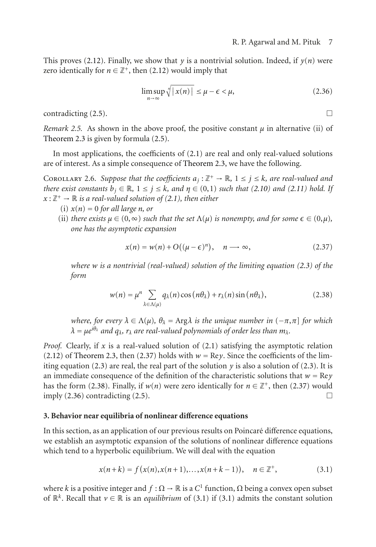This proves [\(2.12\)](#page-3-3). Finally, we show that  $y$  is a nontrivial solution. Indeed, if  $y(n)$  were zero identically for  $n \in \mathbb{Z}^+$ , then [\(2.12\)](#page-3-3) would imply that

<span id="page-6-3"></span>
$$
\limsup_{n \to \infty} \sqrt[n]{|x(n)|} \le \mu - \epsilon < \mu,\tag{2.36}
$$

 $\Box$  contradicting [\(2.5\)](#page-1-6).  $\Box$ 

*Remark 2.5.* As shown in the above proof, the positive constant  $\mu$  in alternative (ii) of [Theorem 2.3](#page-2-0) is given by formula [\(2.5\)](#page-1-6).

<span id="page-6-5"></span>In most applications, the coefficients of  $(2.1)$  are real and only real-valued solutions are of interest. As a simple consequence of [Theorem 2.3,](#page-2-0) we have the following.

COROLLARY 2.6. Suppose that the coefficients  $a_j : \mathbb{Z}^+ \to \mathbb{R}$ ,  $1 \le j \le k$ , are real-valued and *there exist constants*  $b_i \in \mathbb{R}$ ,  $1 \leq j \leq k$ *, and*  $\eta \in (0,1)$  *such that* [\(2.10\)](#page-2-5) *and* [\(2.11\)](#page-2-4) *hold.* If  $x: \mathbb{Z}^+ \to \mathbb{R}$  *is a real-valued solution of [\(2.1\)](#page-1-1), then either* 

- $(i)$   $x(n) = 0$  *for all large n, or*
- (ii) *there exists*  $\mu \in (0, \infty)$  *such that the set*  $\Lambda(\mu)$  *is nonempty, and for some*  $\epsilon \in (0, \mu)$ *, one has the asymptotic expansion*

<span id="page-6-2"></span><span id="page-6-1"></span>
$$
x(n) = w(n) + O((\mu - \epsilon)^n), \quad n \longrightarrow \infty,
$$
 (2.37)

*where w is a nontrivial (real-valued) solution of the limiting equation [\(2.3\)](#page-1-2) of the form*

$$
w(n) = \mu^n \sum_{\lambda \in \Lambda(\mu)} q_\lambda(n) \cos (n \theta_\lambda) + r_\lambda(n) \sin (n \theta_\lambda), \qquad (2.38)
$$

*where, for every*  $\lambda \in \Lambda(\mu)$ ,  $\theta_{\lambda} = \text{Arg}\lambda$  *is the unique number in*  $(-\pi, \pi)$  *for which*  $\lambda = \mu e^{i\theta_{\lambda}}$  *and*  $q_{\lambda}$ ,  $r_{\lambda}$  *are real-valued polynomials of order less than*  $m_{\lambda}$ *.* 

*Proof.* Clearly, if *x* is a real-valued solution of [\(2.1\)](#page-1-1) satisfying the asymptotic relation [\(2.12\)](#page-3-3) of [Theorem 2.3,](#page-2-0) then [\(2.37\)](#page-6-1) holds with  $w = \text{Re } y$ . Since the coefficients of the lim-iting equation [\(2.3\)](#page-1-2) are real, the real part of the solution  $\gamma$  is also a solution of (2.3). It is an immediate consequence of the definition of the characteristic solutions that  $w = \text{Re} \gamma$ has the form [\(2.38\)](#page-6-2). Finally, if  $w(n)$  were zero identically for  $n \in \mathbb{Z}^+$ , then [\(2.37\)](#page-6-1) would imply  $(2.36)$  contradicting  $(2.5)$ .

#### <span id="page-6-0"></span>**3. Behavior near equilibria of nonlinear difference equations**

In this section, as an application of our previous results on Poincaré difference equations, we establish an asymptotic expansion of the solutions of nonlinear difference equations which tend to a hyperbolic equilibrium. We will deal with the equation

<span id="page-6-4"></span>
$$
x(n+k) = f(x(n), x(n+1), \dots, x(n+k-1)), \quad n \in \mathbb{Z}^+, \tag{3.1}
$$

where *k* is a positive integer and  $f : \Omega \to \mathbb{R}$  is a  $C^1$  function,  $\Omega$  being a convex open subset of  $\mathbb{R}^k$ . Recall that  $v \in \mathbb{R}$  is an *equilibrium* of [\(3.1\)](#page-6-4) if (3.1) admits the constant solution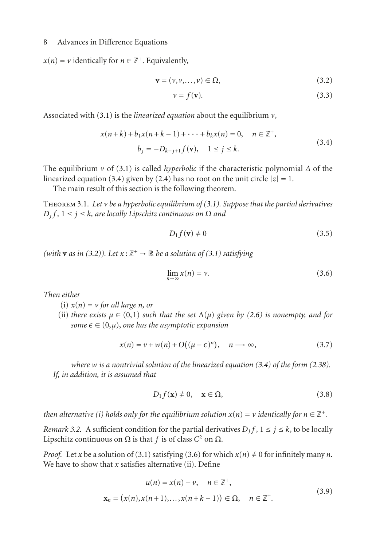$x(n) = v$  identically for  $n \in \mathbb{Z}^+$ . Equivalently,

$$
\mathbf{v} = (\nu, \nu, \dots, \nu) \in \Omega,\tag{3.2}
$$

<span id="page-7-4"></span><span id="page-7-2"></span><span id="page-7-1"></span>
$$
v = f(\mathbf{v}).\tag{3.3}
$$

Associated with [\(3.1\)](#page-6-4) is the *linearized equation* about the equilibrium *v*,

$$
x(n+k) + b_1 x(n+k-1) + \dots + b_k x(n) = 0, \quad n \in \mathbb{Z}^+,
$$
  
\n
$$
b_j = -D_{k-j+1} f(\mathbf{v}), \quad 1 \le j \le k.
$$
\n(3.4)

The equilibrium *v* of [\(3.1\)](#page-6-4) is called *hyperbolic* if the characteristic polynomial *Δ* of the linearized equation [\(3.4\)](#page-7-1) given by [\(2.4\)](#page-1-5) has no root on the unit circle  $|z| = 1$ .

The main result of this section is the following theorem.

<span id="page-7-0"></span>Theorem 3.1. *Let v be a hyperbolic equilibrium of [\(3.1\)](#page-6-4). Suppose that the partial derivatives*  $D_i f$ ,  $1 \leq j \leq k$ , are locally Lipschitz continuous on  $\Omega$  and

<span id="page-7-5"></span><span id="page-7-3"></span>
$$
D_1 f(\mathbf{v}) \neq 0 \tag{3.5}
$$

*(with* **v** *as in* [\(3.2\)](#page-7-2)). Let  $x : \mathbb{Z}^+ \to \mathbb{R}$  be a solution of [\(3.1\)](#page-6-4) satisfying

<span id="page-7-6"></span>
$$
\lim_{n \to \infty} x(n) = \nu.
$$
\n(3.6)

*Then either*

- (i)  $x(n) = v$  *for all large n, or*
- (ii) *there exists*  $\mu \in (0,1)$  *such that the set*  $\Lambda(\mu)$  *given by [\(2.6\)](#page-2-2) is nonempty, and for*  $some\ \epsilon\in (0,\mu),$  one has the asymptotic expansion

$$
x(n) = v + w(n) + O((\mu - \epsilon)^n), \quad n \longrightarrow \infty,
$$
\n(3.7)

*where w is a nontrivial solution of the linearized equation [\(3.4\)](#page-7-1) of the form [\(2.38\)](#page-6-2). If, in addition, it is assumed that*

<span id="page-7-7"></span>
$$
D_1 f(\mathbf{x}) \neq 0, \quad \mathbf{x} \in \Omega,\tag{3.8}
$$

*then alternative (i) holds only for the equilibrium solution*  $x(n) = v$  *identically for*  $n \in \mathbb{Z}^+$ *.* 

*Remark 3.2.* A sufficient condition for the partial derivatives  $D_j f$ ,  $1 \le j \le k$ , to be locally Lipschitz continuous on  $Ω$  is that *f* is of class  $C^2$  on  $Ω$ .

*Proof.* Let *x* be a solution of [\(3.1\)](#page-6-4) satisfying [\(3.6\)](#page-7-3) for which  $x(n) \neq 0$  for infinitely many *n*. We have to show that  $x$  satisfies alternative (ii). Define

$$
u(n) = x(n) - v, \quad n \in \mathbb{Z}^+,
$$
  

$$
\mathbf{x}_n = (x(n), x(n+1), \dots, x(n+k-1)) \in \Omega, \quad n \in \mathbb{Z}^+.
$$
 (3.9)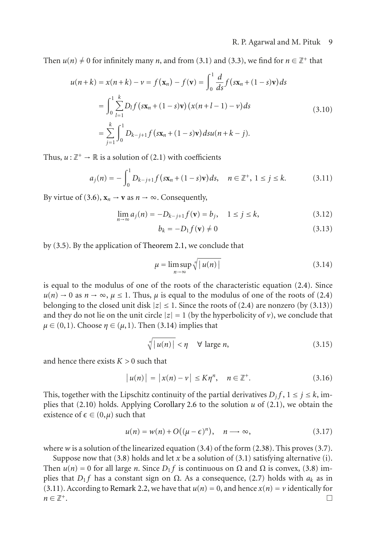Then  $u(n) \neq 0$  for infinitely many *n*, and from [\(3.1\)](#page-6-4) and [\(3.3\)](#page-7-4), we find for  $n \in \mathbb{Z}^+$  that

$$
u(n+k) = x(n+k) - v = f(\mathbf{x}_n) - f(\mathbf{v}) = \int_0^1 \frac{d}{ds} f(s\mathbf{x}_n + (1-s)\mathbf{v}) ds
$$
  
= 
$$
\int_0^1 \sum_{l=1}^k D_l f(s\mathbf{x}_n + (1-s)\mathbf{v}) (x(n+l-1) - v) ds
$$
  
= 
$$
\sum_{j=1}^k \int_0^1 D_{k-j+1} f(s\mathbf{x}_n + (1-s)\mathbf{v}) ds u(n+k-j).
$$
 (3.10)

Thus,  $u : \mathbb{Z}^+ \to \mathbb{R}$  is a solution of [\(2.1\)](#page-1-1) with coefficients

$$
a_j(n) = -\int_0^1 D_{k-j+1} f(s\mathbf{x}_n + (1-s)\mathbf{v}) ds, \quad n \in \mathbb{Z}^+, 1 \le j \le k. \tag{3.11}
$$

By virtue of [\(3.6\)](#page-7-3),  $\mathbf{x}_n \to \mathbf{v}$  as  $n \to \infty$ . Consequently,

$$
\lim_{n \to \infty} a_j(n) = -D_{k-j+1} f(\mathbf{v}) = b_j, \quad 1 \le j \le k,
$$
\n(3.12)

<span id="page-8-2"></span><span id="page-8-1"></span><span id="page-8-0"></span>
$$
b_k = -D_1 f(\mathbf{v}) \neq 0 \tag{3.13}
$$

by [\(3.5\)](#page-7-5). By the application of [Theorem 2.1,](#page-1-4) we conclude that

$$
\mu = \limsup_{n \to \infty} \sqrt[n]{|u(n)|} \tag{3.14}
$$

is equal to the modulus of one of the roots of the characteristic equation [\(2.4\)](#page-1-5). Since  $u(n) \to 0$  as  $n \to \infty$ ,  $\mu \le 1$ . Thus,  $\mu$  is equal to the modulus of one of the roots of [\(2.4\)](#page-1-5) belonging to the closed unit disk  $|z| \leq 1$ . Since the roots of [\(2.4\)](#page-1-5) are nonzero (by [\(3.13\)](#page-8-0)) and they do not lie on the unit circle  $|z| = 1$  (by the hyperbolicity of *v*), we conclude that  $\mu \in (0,1)$ . Choose  $\eta \in (\mu,1)$ . Then [\(3.14\)](#page-8-1) implies that

$$
\sqrt[n]{|u(n)|} < \eta \quad \forall \text{ large } n,\tag{3.15}
$$

and hence there exists *K >* 0 such that

$$
|u(n)| = |x(n) - v| \le K\eta^n, \quad n \in \mathbb{Z}^+.
$$
 (3.16)

This, together with the Lipschitz continuity of the partial derivatives  $D_j f$ ,  $1 \le j \le k$ , implies that [\(2.10\)](#page-2-5) holds. Applying [Corollary 2.6](#page-6-5) to the solution *u* of [\(2.1\)](#page-1-1), we obtain the existence of  $\epsilon \in (0, \mu)$  such that

$$
u(n) = w(n) + O((\mu - \epsilon)^n), \quad n \longrightarrow \infty,
$$
\n(3.17)

where  $w$  is a solution of the linearized equation  $(3.4)$  of the form  $(2.38)$ . This proves  $(3.7)$ .

Suppose now that  $(3.8)$  holds and let *x* be a solution of  $(3.1)$  satisfying alternative (i). Then  $u(n) = 0$  for all large *n*. Since  $D_1 f$  is continuous on  $\Omega$  and  $\Omega$  is convex, [\(3.8\)](#page-7-7) implies that *D*<sub>1</sub> *f* has a constant sign on  $\Omega$ . As a consequence, [\(2.7\)](#page-2-1) holds with  $a_k$  as in [\(3.11\)](#page-8-2). According to [Remark 2.2,](#page-2-6) we have that  $u(n) = 0$ , and hence  $x(n) = v$  identically for  $n \in \mathbb{Z}^+$  $n \in \mathbb{Z}^+$ .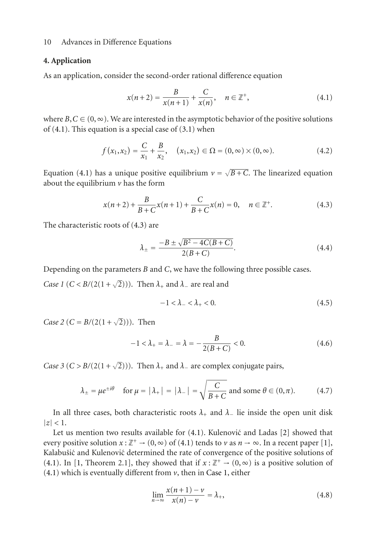## <span id="page-9-0"></span>**4. Application**

As an application, consider the second-order rational difference equation

<span id="page-9-1"></span>
$$
x(n+2) = \frac{B}{x(n+1)} + \frac{C}{x(n)}, \quad n \in \mathbb{Z}^+, \tag{4.1}
$$

where  $B, C \in (0, \infty)$ . We are interested in the asymptotic behavior of the positive solutions of  $(4.1)$ . This equation is a special case of  $(3.1)$  when

$$
f(x_1, x_2) = \frac{C}{x_1} + \frac{B}{x_2}, \quad (x_1, x_2) \in \Omega = (0, \infty) \times (0, \infty).
$$
 (4.2)

Equation [\(4.1\)](#page-9-1) has a unique positive equilibrium  $v = \sqrt{B+C}$ . The linearized equation about the equilibrium *v* has the form

$$
x(n+2) + \frac{B}{B+C}x(n+1) + \frac{C}{B+C}x(n) = 0, \quad n \in \mathbb{Z}^+.
$$
 (4.3)

The characteristic roots of [\(4.3\)](#page-9-2) are

<span id="page-9-2"></span>
$$
\lambda_{\pm} = \frac{-B \pm \sqrt{B^2 - 4C(B + C)}}{2(B + C)}.
$$
\n(4.4)

<span id="page-9-3"></span>Depending on the parameters *B* and *C*, we have the following three possible cases.

*Case 1* (*C* < *B*/(2(1 +  $\sqrt{2}$ ))). Then  $\lambda$ <sub>+</sub> and  $\lambda$ <sub>−</sub> are real and

<span id="page-9-7"></span><span id="page-9-6"></span>
$$
-1 < \lambda_- < \lambda_+ < 0. \tag{4.5}
$$

<span id="page-9-4"></span>*Case 2* (*C* = *B*/(2(1 +  $\sqrt{2}$ ))). Then

$$
-1 < \lambda_+ = \lambda_- = \lambda = -\frac{B}{2(B+C)} < 0. \tag{4.6}
$$

<span id="page-9-5"></span>*Case 3* (*C* > *B*/(2(1 +  $\sqrt{2}$ ))). Then  $\lambda$ <sub>+</sub> and  $\lambda$ <sub>−</sub> are complex conjugate pairs,

$$
\lambda_{\pm} = \mu e^{\pm i\theta} \quad \text{for } \mu = |\lambda_{+}| = |\lambda_{-}| = \sqrt{\frac{C}{B+C}} \text{ and some } \theta \in (0, \pi). \tag{4.7}
$$

In all three cases, both characteristic roots  $\lambda_+$  and  $\lambda_-$  lie inside the open unit disk  $|z|$  < 1.

Let us mention two results available for  $(4.1)$ . Kulenović and Ladas  $[2]$  $[2]$  $[2]$  showed that every positive solution  $x : \mathbb{Z}^+ \to (0, \infty)$  of [\(4.1\)](#page-9-1) tends to *v* as  $n \to \infty$ . In a recent paper [\[1\]](#page-10-1), Kalabušić and Kulenović determined the rate of convergence of the positive solutions of [\(4.1\)](#page-9-1). In [\[1](#page-10-1), Theorem 2.1], they showed that if  $x : \mathbb{Z}^+ \to (0,\infty)$  is a positive solution of [\(4.1\)](#page-9-1) which is eventually different from *v*, then in [Case 1,](#page-9-3) either

$$
\lim_{n \to \infty} \frac{x(n+1) - \nu}{x(n) - \nu} = \lambda_+, \tag{4.8}
$$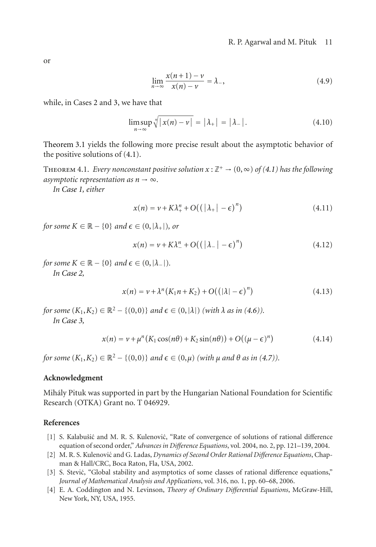or

$$
\lim_{n \to \infty} \frac{x(n+1) - \nu}{x(n) - \nu} = \lambda_{-},\tag{4.9}
$$

while, in Cases [2](#page-9-4) and [3,](#page-9-5) we have that

$$
\limsup_{n \to \infty} \sqrt[n]{|x(n) - v|} = |\lambda_+| = |\lambda_-|. \tag{4.10}
$$

[Theorem 3.1](#page-7-0) yields the following more precise result about the asymptotic behavior of the positive solutions of [\(4.1\)](#page-9-1).

THEOREM 4.1. *Every nonconstant positive solution*  $x : \mathbb{Z}^+ \to (0, \infty)$  *of* [\(4.1\)](#page-9-1) has the following *asymptotic representation as*  $n \rightarrow \infty$ *.* 

*In [Case 1,](#page-9-3) either*

$$
x(n) = v + K\lambda_+^n + O((|\lambda_+| - \epsilon)^n)
$$
\n(4.11)

*for some*  $K \in \mathbb{R} - \{0\}$  *and*  $\boldsymbol{\epsilon} \in (0, |\lambda_+|)$ *, or* 

$$
x(n) = \nu + K\lambda_+^n + O((|\lambda_-| - \epsilon)^n)
$$
\n(4.12)

*for some*  $K \in \mathbb{R} - \{0\}$  *and*  $\epsilon \in (0, |\lambda_-|)$ *. In [Case 2,](#page-9-4)*

$$
x(n) = v + \lambda^{n}(K_1 n + K_2) + O((|\lambda| - \epsilon)^{n})
$$
\n(4.13)

*for some*  $(K_1, K_2) \in \mathbb{R}^2 - \{(0,0)\}$  *and*  $\epsilon \in (0,|\lambda|)$  *(with*  $\lambda$  *as in*  $(4.6)$ *)*. *In [Case 3,](#page-9-5)*

$$
x(n) = v + \mu^{n}(K_1 \cos(n\theta) + K_2 \sin(n\theta)) + O((\mu - \epsilon)^{n})
$$
\n(4.14)

*for some*  $(K_1, K_2) \in \mathbb{R}^2 - \{(0,0)\}$  *and*  $\epsilon \in (0,\mu)$  (with  $\mu$  and  $\theta$  as in [\(4.7\)](#page-9-7)).

## **Acknowledgment**

Mihaly Pituk was supported in part by the Hungarian National Foundation for Scientific ´ Research (OTKA) Grant no. T 046929.

#### <span id="page-10-1"></span><span id="page-10-0"></span>**References**

- [1] S. Kalabušić and M. R. S. Kulenović, "Rate of convergence of solutions of rational difference equation of second order," *Advances in Difference Equations*, vol. 2004, no. 2, pp. 121–139, 2004.
- <span id="page-10-4"></span>[2] M. R. S. Kulenović and G. Ladas, *Dynamics of Second Order Rational Difference Equations*, Chapman & Hall/CRC, Boca Raton, Fla, USA, 2002.
- <span id="page-10-2"></span>[3] S. Stević, "Global stability and asymptotics of some classes of rational difference equations," *Journal of Mathematical Analysis and Applications*, vol. 316, no. 1, pp. 60–68, 2006.
- <span id="page-10-3"></span>[4] E. A. Coddington and N. Levinson, *Theory of Ordinary Differential Equations*, McGraw-Hill, New York, NY, USA, 1955.